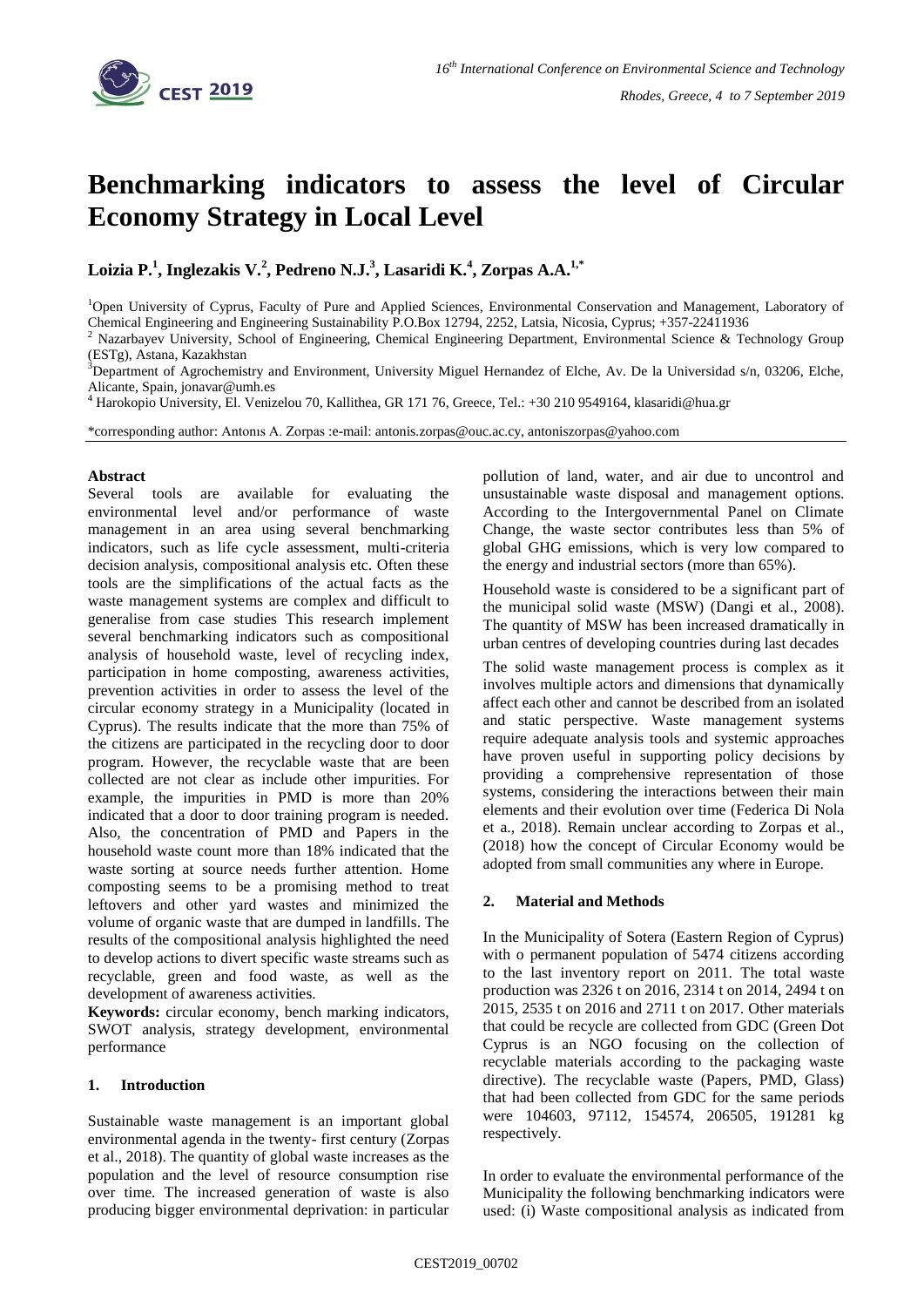

# **Benchmarking indicators to assess the level of Circular Economy Strategy in Local Level**

**Loizia P.<sup>1</sup> , Inglezakis V.<sup>2</sup> , Pedreno N.J.<sup>3</sup> , Lasaridi K.<sup>4</sup> , Zorpas A.A.1,\***

<sup>1</sup>Open University of Cyprus, Faculty of Pure and Applied Sciences, Environmental Conservation and Management, Laboratory of Chemical Engineering and Engineering Sustainability P.O.Box 12794, 2252, Latsia, Nicosia, Cyprus; +357-22411936

<sup>2</sup> Nazarbayev University, School of Engineering, Chemical Engineering Department, Environmental Science & Technology Group (ESTg), Astana, Kazakhstan

<sup>3</sup>Department of Agrochemistry and Environment, University Miguel Hernandez of Elche, Av. De la Universidad s/n, 03206, Elche, Alicante, Spain, jonavar@umh.es

<sup>4</sup> Harokopio University, El. Venizelou 70, Kallithea, GR 171 76, Greece, Tel.: +30 210 9549164, klasaridi@hua.gr

\*corresponding author: Antonıs A. Zorpas :e-mail: antonis.zorpas@ouc.ac.cy, antoniszorpas@yahoo.com

### **Abstract**

Several tools are available for evaluating the environmental level and/or performance of waste management in an area using several benchmarking indicators, such as life cycle assessment, multi-criteria decision analysis, compositional analysis etc. Often these tools are the simplifications of the actual facts as the waste management systems are complex and difficult to generalise from case studies This research implement several benchmarking indicators such as compositional analysis of household waste, level of recycling index, participation in home composting, awareness activities, prevention activities in order to assess the level of the circular economy strategy in a Municipality (located in Cyprus). The results indicate that the more than 75% of the citizens are participated in the recycling door to door program. However, the recyclable waste that are been collected are not clear as include other impurities. For example, the impurities in PMD is more than 20% indicated that a door to door training program is needed. Also, the concentration of PMD and Papers in the household waste count more than 18% indicated that the waste sorting at source needs further attention. Home composting seems to be a promising method to treat leftovers and other yard wastes and minimized the volume of organic waste that are dumped in landfills. The results of the compositional analysis highlighted the need to develop actions to divert specific waste streams such as recyclable, green and food waste, as well as the development of awareness activities.

**Keywords:** circular economy, bench marking indicators, SWOT analysis, strategy development, environmental performance

# **1. Introduction**

Sustainable waste management is an important global environmental agenda in the twenty- first century (Zorpas et al., 2018). The quantity of global waste increases as the population and the level of resource consumption rise over time. The increased generation of waste is also producing bigger environmental deprivation: in particular

pollution of land, water, and air due to uncontrol and unsustainable waste disposal and management options. According to the Intergovernmental Panel on Climate Change, the waste sector contributes less than 5% of global GHG emissions, which is very low compared to the energy and industrial sectors (more than 65%).

Household waste is considered to be a significant part of the municipal solid waste (MSW) (Dangi et al., 2008). The quantity of MSW has been increased dramatically in urban centres of developing countries during last decades

The solid waste management process is complex as it involves multiple actors and dimensions that dynamically affect each other and cannot be described from an isolated and static perspective. Waste management systems require adequate analysis tools and systemic approaches have proven useful in supporting policy decisions by providing a comprehensive representation of those systems, considering the interactions between their main elements and their evolution over time (Federica Di Nola et a., 2018). Remain unclear according to Zorpas et al., (2018) how the concept of Circular Economy would be adopted from small communities any where in Europe.

# **2. Material and Methods**

In the Municipality of Sotera (Eastern Region of Cyprus) with o permanent population of 5474 citizens according to the last inventory report on 2011. The total waste production was 2326 t on 2016, 2314 t on 2014, 2494 t on 2015, 2535 t on 2016 and 2711 t on 2017. Other materials that could be recycle are collected from GDC (Green Dot Cyprus is an NGO focusing on the collection of recyclable materials according to the packaging waste directive). The recyclable waste (Papers, PMD, Glass) that had been collected from GDC for the same periods were 104603, 97112, 154574, 206505, 191281 kg respectively.

In order to evaluate the environmental performance of the Municipality the following benchmarking indicators were used: (i) Waste compositional analysis as indicated from